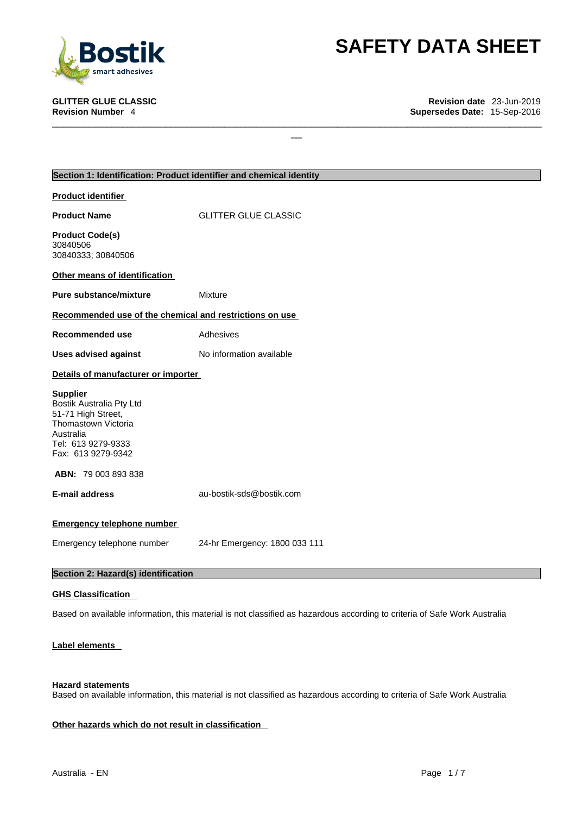

# **SAFETY DATA SHEET**<br>
Revision date 23-Jun-2019<br>
Supersedes Date: 15-Sep-2016

**GLITTER GLUE CLASSIC Revision date** 23-Jun-2019 **Supersedes Date: 15-Sep-2016** 

| Section 1: Identification: Product identifier and chemical identity                                                                               |                               |
|---------------------------------------------------------------------------------------------------------------------------------------------------|-------------------------------|
| <b>Product identifier</b>                                                                                                                         |                               |
| <b>Product Name</b>                                                                                                                               | <b>GLITTER GLUE CLASSIC</b>   |
| <b>Product Code(s)</b><br>30840506<br>30840333; 30840506                                                                                          |                               |
| Other means of identification                                                                                                                     |                               |
| <b>Pure substance/mixture</b>                                                                                                                     | Mixture                       |
| Recommended use of the chemical and restrictions on use                                                                                           |                               |
| <b>Recommended use</b>                                                                                                                            | Adhesives                     |
| <b>Uses advised against</b>                                                                                                                       | No information available      |
| Details of manufacturer or importer                                                                                                               |                               |
| <b>Supplier</b><br>Bostik Australia Pty Ltd<br>51-71 High Street,<br>Thomastown Victoria<br>Australia<br>Tel: 613 9279-9333<br>Fax: 613 9279-9342 |                               |
| ABN: 79 003 893 838                                                                                                                               |                               |
| <b>E-mail address</b>                                                                                                                             | au-bostik-sds@bostik.com      |
| <b>Emergency telephone number</b>                                                                                                                 |                               |
| Emergency telephone number                                                                                                                        | 24-hr Emergency: 1800 033 111 |
| Section 2: Hazard(s) identification                                                                                                               |                               |

 $\Box$ 

## **GHS Classification**

Based on available information, this material is not classified as hazardous according to criteria of Safe Work Australia

## **Label elements**

### **Hazard statements**

Based on available information, this material is not classified as hazardous according to criteria of Safe Work Australia

## **Other hazards which do not result in classification**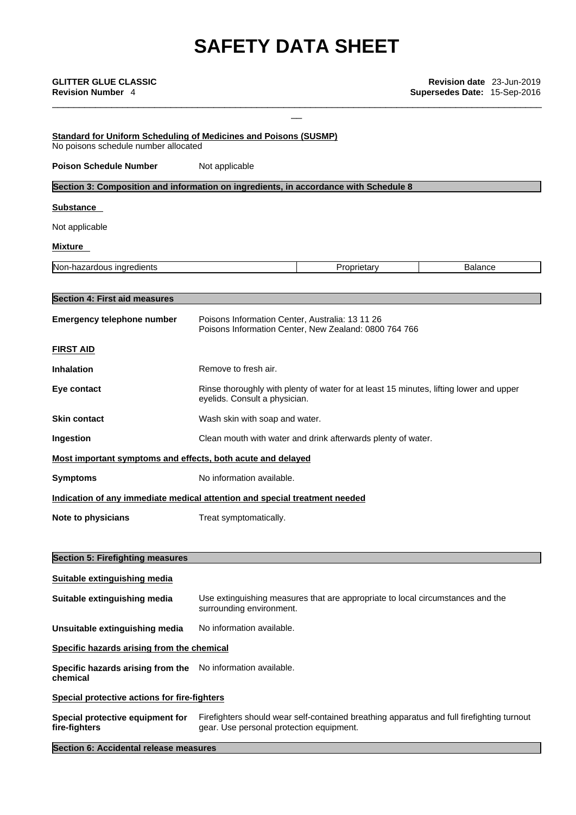| <b>GLITTER GLUE CLASSIC</b><br><b>Revision Number 4</b>                                                         |                                                 |                                                                                           | Revision date 23-Jun-2019<br>Supersedes Date: 15-Sep-2016 |  |
|-----------------------------------------------------------------------------------------------------------------|-------------------------------------------------|-------------------------------------------------------------------------------------------|-----------------------------------------------------------|--|
| <b>Standard for Uniform Scheduling of Medicines and Poisons (SUSMP)</b><br>No poisons schedule number allocated |                                                 |                                                                                           |                                                           |  |
| <b>Poison Schedule Number</b>                                                                                   | Not applicable                                  |                                                                                           |                                                           |  |
| Section 3: Composition and information on ingredients, in accordance with Schedule 8                            |                                                 |                                                                                           |                                                           |  |
| <b>Substance</b>                                                                                                |                                                 |                                                                                           |                                                           |  |
| Not applicable                                                                                                  |                                                 |                                                                                           |                                                           |  |
| Mixture                                                                                                         |                                                 |                                                                                           |                                                           |  |
| Non-hazardous ingredients                                                                                       |                                                 | Proprietary                                                                               | <b>Balance</b>                                            |  |
|                                                                                                                 |                                                 |                                                                                           |                                                           |  |
| <b>Section 4: First aid measures</b>                                                                            |                                                 |                                                                                           |                                                           |  |
| <b>Emergency telephone number</b>                                                                               | Poisons Information Center, Australia: 13 11 26 | Poisons Information Center, New Zealand: 0800 764 766                                     |                                                           |  |
| <b>FIRST AID</b>                                                                                                |                                                 |                                                                                           |                                                           |  |
| <b>Inhalation</b>                                                                                               | Remove to fresh air.                            |                                                                                           |                                                           |  |
| Eye contact                                                                                                     | eyelids. Consult a physician.                   | Rinse thoroughly with plenty of water for at least 15 minutes, lifting lower and upper    |                                                           |  |
| <b>Skin contact</b>                                                                                             | Wash skin with soap and water.                  |                                                                                           |                                                           |  |
| Ingestion                                                                                                       |                                                 | Clean mouth with water and drink afterwards plenty of water.                              |                                                           |  |
| Most important symptoms and effects, both acute and delayed                                                     |                                                 |                                                                                           |                                                           |  |
| <b>Symptoms</b>                                                                                                 | No information available.                       |                                                                                           |                                                           |  |
| Indication of any immediate medical attention and special treatment needed                                      |                                                 |                                                                                           |                                                           |  |
| Note to physicians                                                                                              | Treat symptomatically.                          |                                                                                           |                                                           |  |
| <b>Section 5: Firefighting measures</b>                                                                         |                                                 |                                                                                           |                                                           |  |
| Suitable extinguishing media                                                                                    |                                                 |                                                                                           |                                                           |  |
| Suitable extinguishing media                                                                                    | surrounding environment.                        | Use extinguishing measures that are appropriate to local circumstances and the            |                                                           |  |
| Unsuitable extinguishing media                                                                                  | No information available.                       |                                                                                           |                                                           |  |
| Specific hazards arising from the chemical                                                                      |                                                 |                                                                                           |                                                           |  |
| Specific hazards arising from the<br>chemical                                                                   | No information available.                       |                                                                                           |                                                           |  |
| Special protective actions for fire-fighters                                                                    |                                                 |                                                                                           |                                                           |  |
| Special protective equipment for<br>fire-fighters                                                               | gear. Use personal protection equipment.        | Firefighters should wear self-contained breathing apparatus and full firefighting turnout |                                                           |  |

**Section 6: Accidental release measures**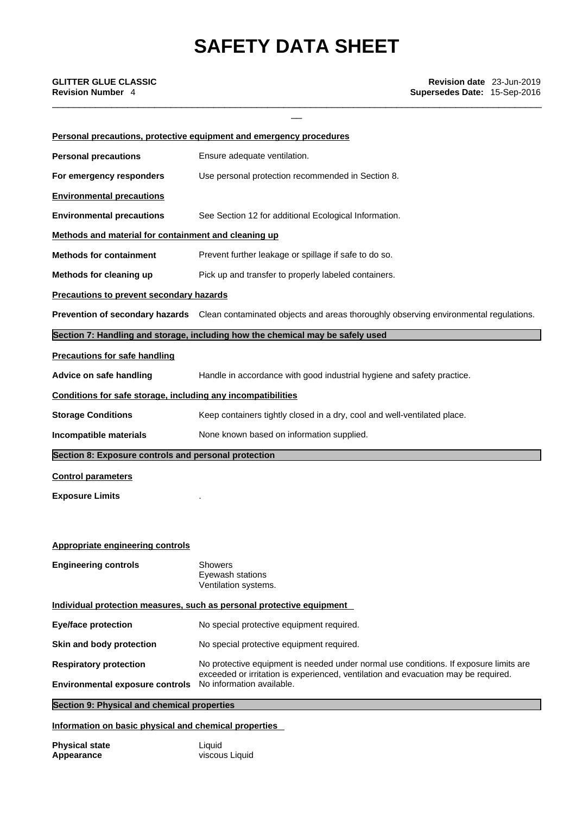\_\_\_\_\_\_\_\_\_\_\_\_\_\_\_\_\_\_\_\_\_\_\_\_\_\_\_\_\_\_\_\_\_\_\_\_\_\_\_\_\_\_\_\_\_\_\_\_\_\_\_\_\_\_\_\_\_\_\_\_\_\_\_\_\_\_\_\_\_\_\_\_\_\_\_\_\_\_\_\_\_\_\_\_\_\_\_\_\_\_\_

|                                                                       | Personal precautions, protective equipment and emergency procedures                                                  |  |  |
|-----------------------------------------------------------------------|----------------------------------------------------------------------------------------------------------------------|--|--|
| <b>Personal precautions</b>                                           | Ensure adequate ventilation.                                                                                         |  |  |
| For emergency responders                                              | Use personal protection recommended in Section 8.                                                                    |  |  |
| <b>Environmental precautions</b>                                      |                                                                                                                      |  |  |
| <b>Environmental precautions</b>                                      | See Section 12 for additional Ecological Information.                                                                |  |  |
| Methods and material for containment and cleaning up                  |                                                                                                                      |  |  |
| <b>Methods for containment</b>                                        | Prevent further leakage or spillage if safe to do so.                                                                |  |  |
| Methods for cleaning up                                               | Pick up and transfer to properly labeled containers.                                                                 |  |  |
| <b>Precautions to prevent secondary hazards</b>                       |                                                                                                                      |  |  |
|                                                                       | Prevention of secondary hazards Clean contaminated objects and areas thoroughly observing environmental regulations. |  |  |
|                                                                       | Section 7: Handling and storage, including how the chemical may be safely used                                       |  |  |
| <b>Precautions for safe handling</b>                                  |                                                                                                                      |  |  |
| Advice on safe handling                                               | Handle in accordance with good industrial hygiene and safety practice.                                               |  |  |
| Conditions for safe storage, including any incompatibilities          |                                                                                                                      |  |  |
| <b>Storage Conditions</b>                                             | Keep containers tightly closed in a dry, cool and well-ventilated place.                                             |  |  |
| Incompatible materials                                                | None known based on information supplied.                                                                            |  |  |
| Section 8: Exposure controls and personal protection                  |                                                                                                                      |  |  |
| <b>Control parameters</b>                                             |                                                                                                                      |  |  |
| <b>Exposure Limits</b>                                                |                                                                                                                      |  |  |
|                                                                       |                                                                                                                      |  |  |
|                                                                       |                                                                                                                      |  |  |
| <b>Appropriate engineering controls</b>                               |                                                                                                                      |  |  |
| <b>Engineering controls</b>                                           | <b>Showers</b><br>Eyewash stations<br>Ventilation systems.                                                           |  |  |
| Individual protection measures, such as personal protective equipment |                                                                                                                      |  |  |
| <b>Eye/face protection</b>                                            | No special protective equipment required.                                                                            |  |  |
| Skin and body protection                                              | No special protective equipment required.                                                                            |  |  |
| <b>Respiratory protection</b>                                         | No protective equipment is needed under normal use conditions. If exposure limits are                                |  |  |
| <b>Environmental exposure controls</b>                                | exceeded or irritation is experienced, ventilation and evacuation may be required.<br>No information available.      |  |  |
| Section 9: Physical and chemical properties                           |                                                                                                                      |  |  |

## **Information on basic physical and chemical properties**

| <b>Physical state</b> | Liquid         |
|-----------------------|----------------|
| Appearance            | viscous Liquid |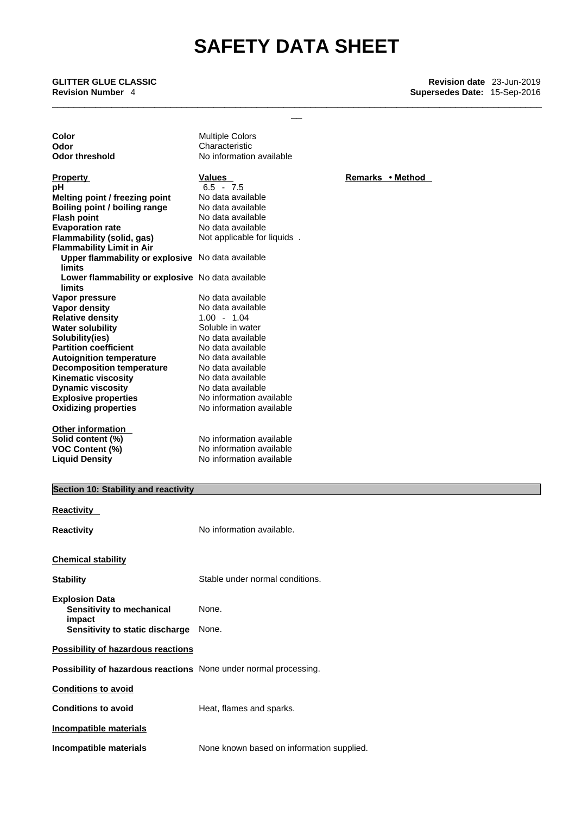\_\_ **GLITTER GLUE CLASSIC Revision date** 23-Jun-2019 **Revision Number** 4 **Supersedes Date:** 15-Sep-2016

**Color Multiple Colors Odor**<br> **Odor threshold**<br> **Characteristic Codor threshold**<br> **Characteristic Characteristic Codor Explosive properties**<br> **Oxidizing properties**<br>
No information available<br>
No information available **Oxidizing properties** No information available **Other information Solid content (%)**<br> **No information available**<br> **VOC Content (%)**<br> **No information available Property CONSCRUTE IN THE Values Property Property Remarks • Method pH 6.5** - 7.5<br>**Melting point / freezing point** No data available **Melting point / freezing point** No data available<br> **Boiling point / boiling range** No data available **Boiling point / boiling range**<br>Flash point **Flash point** No data available **Evaporation rate Capacity Console Console Algebra Flammability (solid, gas)** Mot applicable for liquids . **Flammability (solid, gas) Flammability Limit in Air Upper flammability or explosive** No data available **limits Lower flammability or explosive** No data available **limits Vapor pressure <br>Vapor density and the Contract Control No data available Vapor density Relative density** 1.00 - 1.04 **Water solubility**<br> **Solubility**<br> **Solubility**<br> **Solubility**<br> **Solubility Solubility(ies)**<br> **Partition coefficient**<br>
No data available **Partition** coefficient **Autoignition temperature** No data available **Decomposition temperature** No data available<br> **Kinematic viscosity** No data available **Kinematic viscosity** No data available<br> **Dynamic viscosity** No data available **Dynamic viscosity VOC Content (%)** No information available **Liquid Density No information available** 

## **Section 10: Stability and reactivity**

| <b>Reactivity</b>                                                       |                                           |
|-------------------------------------------------------------------------|-------------------------------------------|
| Reactivity                                                              | No information available.                 |
| <b>Chemical stability</b>                                               |                                           |
| <b>Stability</b>                                                        | Stable under normal conditions.           |
| <b>Explosion Data</b><br>Sensitivity to mechanical<br>impact            | None.                                     |
| Sensitivity to static discharge                                         | None.                                     |
| <b>Possibility of hazardous reactions</b>                               |                                           |
| <b>Possibility of hazardous reactions</b> None under normal processing. |                                           |
| <b>Conditions to avoid</b>                                              |                                           |
| <b>Conditions to avoid</b>                                              | Heat, flames and sparks.                  |
| <b>Incompatible materials</b>                                           |                                           |
| Incompatible materials                                                  | None known based on information supplied. |

**No information available** 

\_\_\_\_\_\_\_\_\_\_\_\_\_\_\_\_\_\_\_\_\_\_\_\_\_\_\_\_\_\_\_\_\_\_\_\_\_\_\_\_\_\_\_\_\_\_\_\_\_\_\_\_\_\_\_\_\_\_\_\_\_\_\_\_\_\_\_\_\_\_\_\_\_\_\_\_\_\_\_\_\_\_\_\_\_\_\_\_\_\_\_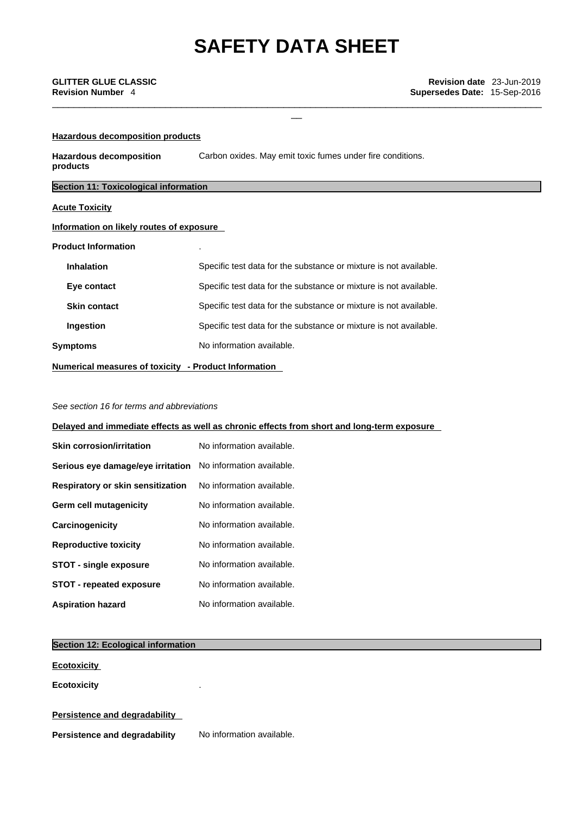\_\_\_\_\_\_\_\_\_\_\_\_\_\_\_\_\_\_\_\_\_\_\_\_\_\_\_\_\_\_\_\_\_\_\_\_\_\_\_\_\_\_\_\_\_\_\_\_\_\_\_\_\_\_\_\_\_\_\_\_\_\_\_\_\_\_\_\_\_\_\_\_\_\_\_\_\_\_\_\_\_\_\_\_\_\_\_\_\_\_\_

| Hazardous decomposition products             |                                                                   |  |
|----------------------------------------------|-------------------------------------------------------------------|--|
| <b>Hazardous decomposition</b><br>products   | Carbon oxides. May emit toxic fumes under fire conditions.        |  |
| <b>Section 11: Toxicological information</b> |                                                                   |  |
| <b>Acute Toxicity</b>                        |                                                                   |  |
| Information on likely routes of exposure     |                                                                   |  |
| <b>Product Information</b>                   |                                                                   |  |
| <b>Inhalation</b>                            | Specific test data for the substance or mixture is not available. |  |
| Eye contact                                  | Specific test data for the substance or mixture is not available. |  |
| <b>Skin contact</b>                          | Specific test data for the substance or mixture is not available. |  |
| Ingestion                                    | Specific test data for the substance or mixture is not available. |  |
| <b>Symptoms</b>                              | No information available.                                         |  |

**Numerical measures of toxicity - Product Information**

## *See section 16 for terms and abbreviations*

**Delayed and immediate effects as well as chronic effects from short and long-term exposure**

| <b>Skin corrosion/irritation</b>                                   | No information available. |
|--------------------------------------------------------------------|---------------------------|
| <b>Serious eye damage/eye irritation</b> No information available. |                           |
| Respiratory or skin sensitization                                  | No information available. |
| Germ cell mutagenicity                                             | No information available. |
| Carcinogenicity                                                    | No information available. |
| <b>Reproductive toxicity</b>                                       | No information available. |
| <b>STOT - single exposure</b>                                      | No information available. |
| <b>STOT - repeated exposure</b>                                    | No information available. |
| <b>Aspiration hazard</b>                                           | No information available. |

## **Section 12: Ecological information**

**Ecotoxicity** 

**Ecotoxicity** .

## **Persistence and degradability**

**Persistence and degradability** No information available.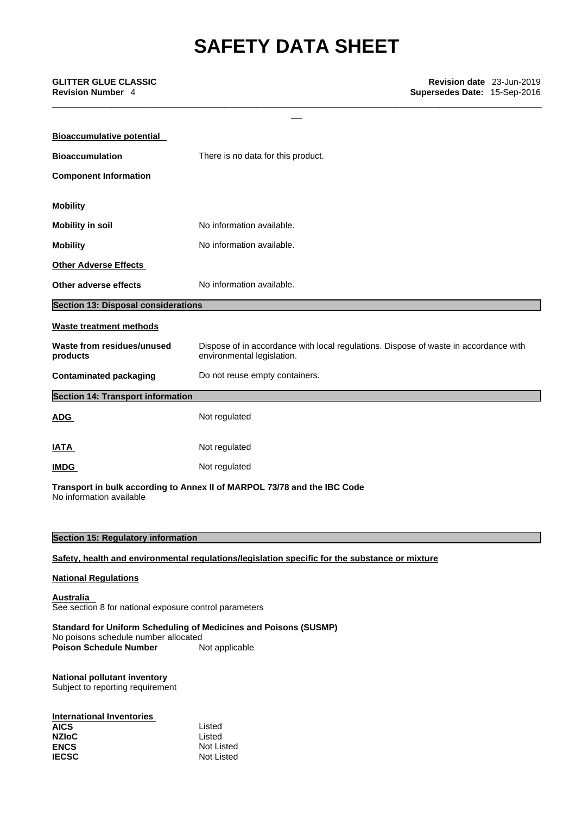\_\_\_\_\_\_\_\_\_\_\_\_\_\_\_\_\_\_\_\_\_\_\_\_\_\_\_\_\_\_\_\_\_\_\_\_\_\_\_\_\_\_\_\_\_\_\_\_\_\_\_\_\_\_\_\_\_\_\_\_\_\_\_\_\_\_\_\_\_\_\_\_\_\_\_\_\_\_\_\_\_\_\_\_\_\_\_\_\_\_\_

| <b>Bioaccumulative potential</b>           |                                                                                                                    |
|--------------------------------------------|--------------------------------------------------------------------------------------------------------------------|
| <b>Bioaccumulation</b>                     | There is no data for this product.                                                                                 |
| <b>Component Information</b>               |                                                                                                                    |
| <b>Mobility</b>                            |                                                                                                                    |
| <b>Mobility in soil</b>                    | No information available.                                                                                          |
| <b>Mobility</b>                            | No information available.                                                                                          |
| <b>Other Adverse Effects</b>               |                                                                                                                    |
| Other adverse effects                      | No information available.                                                                                          |
| <b>Section 13: Disposal considerations</b> |                                                                                                                    |
| <b>Waste treatment methods</b>             |                                                                                                                    |
| Waste from residues/unused<br>products     | Dispose of in accordance with local regulations. Dispose of waste in accordance with<br>environmental legislation. |
| <b>Contaminated packaging</b>              | Do not reuse empty containers.                                                                                     |
| <b>Section 14: Transport information</b>   |                                                                                                                    |
| <b>ADG</b>                                 | Not regulated                                                                                                      |
| <b>IATA</b>                                | Not regulated                                                                                                      |
| <b>IMDG</b>                                | Not regulated                                                                                                      |
| No information available                   | Transport in bulk according to Annex II of MARPOL 73/78 and the IBC Code                                           |
|                                            |                                                                                                                    |
| <b>Section 15: Regulatory information</b>  |                                                                                                                    |

**Safety, health and environmental regulations/legislation specific for the substance or mixture**

## **National Regulations**

**Australia**  See section 8 for national exposure control parameters

## **Standard for Uniform Scheduling of Medicines and Poisons (SUSMP)** No poisons schedule number allocated<br> **Poison Schedule Number** Not applicable

**Poison Schedule Number** 

## **National pollutant inventory** Subject to reporting requirement

| <b>International Inventories</b> |            |
|----------------------------------|------------|
| <b>AICS</b>                      | Listed     |
| <b>NZIoC</b>                     | Listed     |
| <b>ENCS</b>                      | Not Listed |
| <b>IECSC</b>                     | Not Listed |